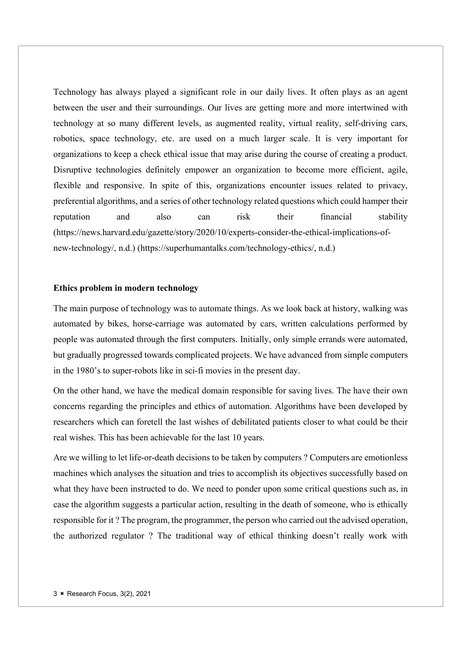Technology has always played a significant role in our daily lives. It often plays as an agent between the user and their surroundings. Our lives are getting more and more intertwined with technology at so many different levels, as augmented reality, virtual reality, self-driving cars, robotics, space technology, etc. are used on a much larger scale. It is very important for organizations to keep a check ethical issue that may arise during the course of creating a product. Disruptive technologies definitely empower an organization to become more efficient, agile, flexible and responsive. In spite of this, organizations encounter issues related to privacy, preferential algorithms, and a series of other technology related questions which could hamper their reputation and also can risk their financial stability (https://news.harvard.edu/gazette/story/2020/10/experts-consider-the-ethical-implications-ofnew-technology/, n.d.) (https://superhumantalks.com/technology-ethics/, n.d.)

# Ethics problem in modern technology

The main purpose of technology was to automate things. As we look back at history, walking was automated by bikes, horse-carriage was automated by cars, written calculations performed by people was automated through the first computers. Initially, only simple errands were automated, but gradually progressed towards complicated projects. We have advanced from simple computers in the 1980's to super-robots like in sci-fi movies in the present day.

On the other hand, we have the medical domain responsible for saving lives. The have their own concerns regarding the principles and ethics of automation. Algorithms have been developed by researchers which can foretell the last wishes of debilitated patients closer to what could be their real wishes. This has been achievable for the last 10 years.

Are we willing to let life-or-death decisions to be taken by computers ? Computers are emotionless machines which analyses the situation and tries to accomplish its objectives successfully based on what they have been instructed to do. We need to ponder upon some critical questions such as, in case the algorithm suggests a particular action, resulting in the death of someone, who is ethically responsible for it ? The program, the programmer, the person who carried out the advised operation, the authorized regulator ? The traditional way of ethical thinking doesn't really work with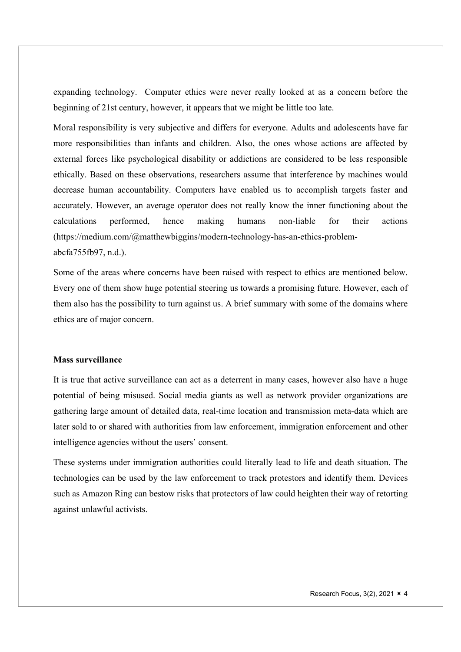expanding technology. Computer ethics were never really looked at as a concern before the beginning of 21st century, however, it appears that we might be little too late.

Moral responsibility is very subjective and differs for everyone. Adults and adolescents have far more responsibilities than infants and children. Also, the ones whose actions are affected by external forces like psychological disability or addictions are considered to be less responsible ethically. Based on these observations, researchers assume that interference by machines would decrease human accountability. Computers have enabled us to accomplish targets faster and accurately. However, an average operator does not really know the inner functioning about the calculations performed, hence making humans non-liable for their actions (https://medium.com/@matthewbiggins/modern-technology-has-an-ethics-problemabcfa755fb97, n.d.).

Some of the areas where concerns have been raised with respect to ethics are mentioned below. Every one of them show huge potential steering us towards a promising future. However, each of them also has the possibility to turn against us. A brief summary with some of the domains where ethics are of major concern.

# Mass surveillance

It is true that active surveillance can act as a deterrent in many cases, however also have a huge potential of being misused. Social media giants as well as network provider organizations are gathering large amount of detailed data, real-time location and transmission meta-data which are later sold to or shared with authorities from law enforcement, immigration enforcement and other intelligence agencies without the users' consent.

These systems under immigration authorities could literally lead to life and death situation. The technologies can be used by the law enforcement to track protestors and identify them. Devices such as Amazon Ring can bestow risks that protectors of law could heighten their way of retorting against unlawful activists.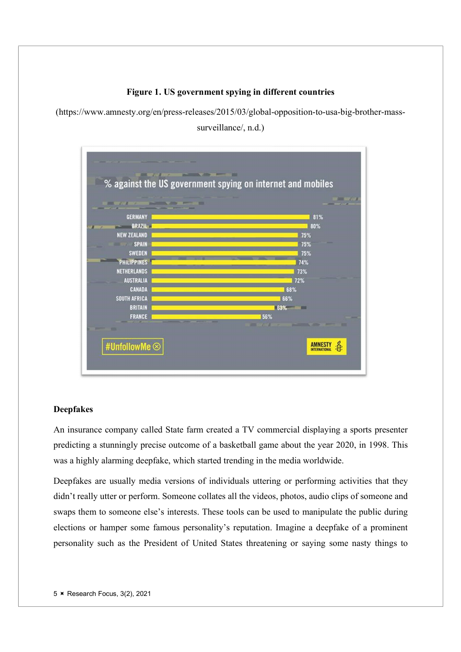Figure 1. US government spying in different countries

(https://www.amnesty.org/en/press-releases/2015/03/global-opposition-to-usa-big-brother-mass-

surveillance/, n.d.)



# Deepfakes

An insurance company called State farm created a TV commercial displaying a sports presenter predicting a stunningly precise outcome of a basketball game about the year 2020, in 1998. This was a highly alarming deepfake, which started trending in the media worldwide.

Deepfakes are usually media versions of individuals uttering or performing activities that they didn't really utter or perform. Someone collates all the videos, photos, audio clips of someone and swaps them to someone else's interests. These tools can be used to manipulate the public during elections or hamper some famous personality's reputation. Imagine a deepfake of a prominent personality such as the President of United States threatening or saying some nasty things to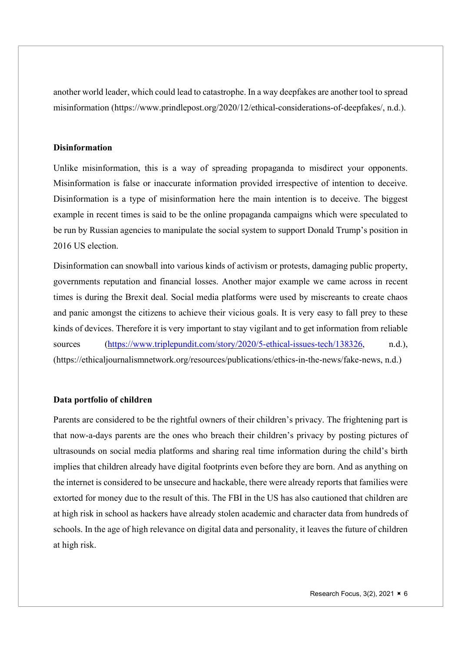another world leader, which could lead to catastrophe. In a way deepfakes are another tool to spread misinformation (https://www.prindlepost.org/2020/12/ethical-considerations-of-deepfakes/, n.d.).

# Disinformation

Unlike misinformation, this is a way of spreading propaganda to misdirect your opponents. Misinformation is false or inaccurate information provided irrespective of intention to deceive. Disinformation is a type of misinformation here the main intention is to deceive. The biggest example in recent times is said to be the online propaganda campaigns which were speculated to be run by Russian agencies to manipulate the social system to support Donald Trump's position in 2016 US election.

Disinformation can snowball into various kinds of activism or protests, damaging public property, governments reputation and financial losses. Another major example we came across in recent times is during the Brexit deal. Social media platforms were used by miscreants to create chaos and panic amongst the citizens to achieve their vicious goals. It is very easy to fall prey to these kinds of devices. Therefore it is very important to stay vigilant and to get information from reliable sources (https://www.triplepundit.com/story/2020/5-ethical-issues-tech/138326, n.d.), (https://ethicaljournalismnetwork.org/resources/publications/ethics-in-the-news/fake-news, n.d.)

#### Data portfolio of children

Parents are considered to be the rightful owners of their children's privacy. The frightening part is that now-a-days parents are the ones who breach their children's privacy by posting pictures of ultrasounds on social media platforms and sharing real time information during the child's birth implies that children already have digital footprints even before they are born. And as anything on the internet is considered to be unsecure and hackable, there were already reports that families were extorted for money due to the result of this. The FBI in the US has also cautioned that children are at high risk in school as hackers have already stolen academic and character data from hundreds of schools. In the age of high relevance on digital data and personality, it leaves the future of children at high risk.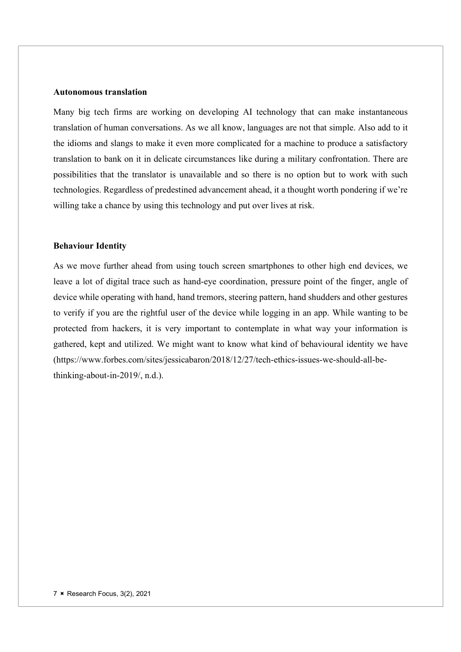# Autonomous translation

Many big tech firms are working on developing AI technology that can make instantaneous translation of human conversations. As we all know, languages are not that simple. Also add to it the idioms and slangs to make it even more complicated for a machine to produce a satisfactory translation to bank on it in delicate circumstances like during a military confrontation. There are possibilities that the translator is unavailable and so there is no option but to work with such technologies. Regardless of predestined advancement ahead, it a thought worth pondering if we're willing take a chance by using this technology and put over lives at risk.

# Behaviour Identity

As we move further ahead from using touch screen smartphones to other high end devices, we leave a lot of digital trace such as hand-eye coordination, pressure point of the finger, angle of device while operating with hand, hand tremors, steering pattern, hand shudders and other gestures to verify if you are the rightful user of the device while logging in an app. While wanting to be protected from hackers, it is very important to contemplate in what way your information is gathered, kept and utilized. We might want to know what kind of behavioural identity we have (https://www.forbes.com/sites/jessicabaron/2018/12/27/tech-ethics-issues-we-should-all-bethinking-about-in-2019/, n.d.).